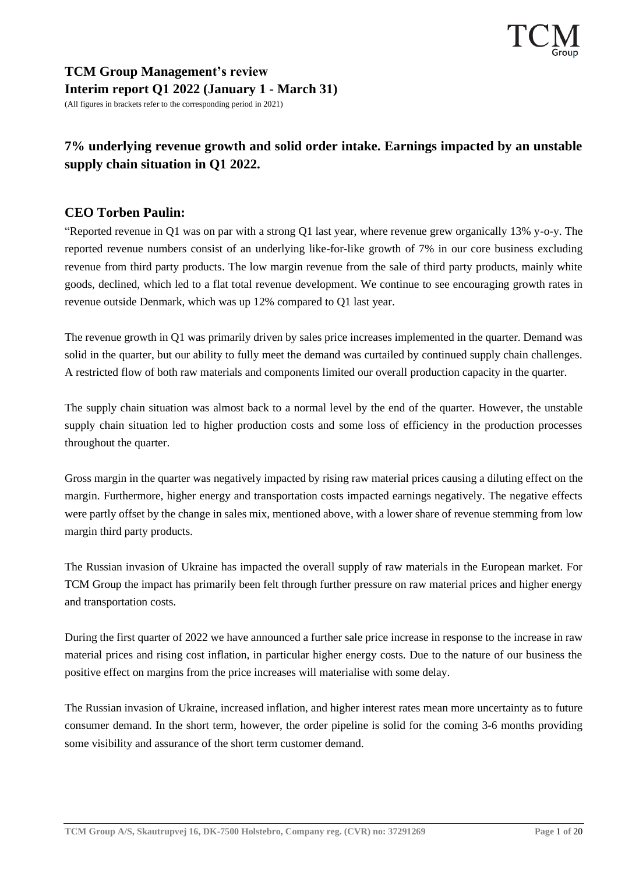### **TCM Group Management's review Interim report Q1 2022 (January 1 - March 31)** (All figures in brackets refer to the corresponding period in 2021)

# **7% underlying revenue growth and solid order intake. Earnings impacted by an unstable supply chain situation in Q1 2022.**

# **CEO Torben Paulin:**

"Reported revenue in Q1 was on par with a strong Q1 last year, where revenue grew organically 13% y-o-y. The reported revenue numbers consist of an underlying like-for-like growth of 7% in our core business excluding revenue from third party products. The low margin revenue from the sale of third party products, mainly white goods, declined, which led to a flat total revenue development. We continue to see encouraging growth rates in revenue outside Denmark, which was up 12% compared to Q1 last year.

The revenue growth in Q1 was primarily driven by sales price increases implemented in the quarter. Demand was solid in the quarter, but our ability to fully meet the demand was curtailed by continued supply chain challenges. A restricted flow of both raw materials and components limited our overall production capacity in the quarter.

The supply chain situation was almost back to a normal level by the end of the quarter. However, the unstable supply chain situation led to higher production costs and some loss of efficiency in the production processes throughout the quarter.

Gross margin in the quarter was negatively impacted by rising raw material prices causing a diluting effect on the margin. Furthermore, higher energy and transportation costs impacted earnings negatively. The negative effects were partly offset by the change in sales mix, mentioned above, with a lower share of revenue stemming from low margin third party products.

The Russian invasion of Ukraine has impacted the overall supply of raw materials in the European market. For TCM Group the impact has primarily been felt through further pressure on raw material prices and higher energy and transportation costs.

During the first quarter of 2022 we have announced a further sale price increase in response to the increase in raw material prices and rising cost inflation, in particular higher energy costs. Due to the nature of our business the positive effect on margins from the price increases will materialise with some delay.

The Russian invasion of Ukraine, increased inflation, and higher interest rates mean more uncertainty as to future consumer demand. In the short term, however, the order pipeline is solid for the coming 3-6 months providing some visibility and assurance of the short term customer demand.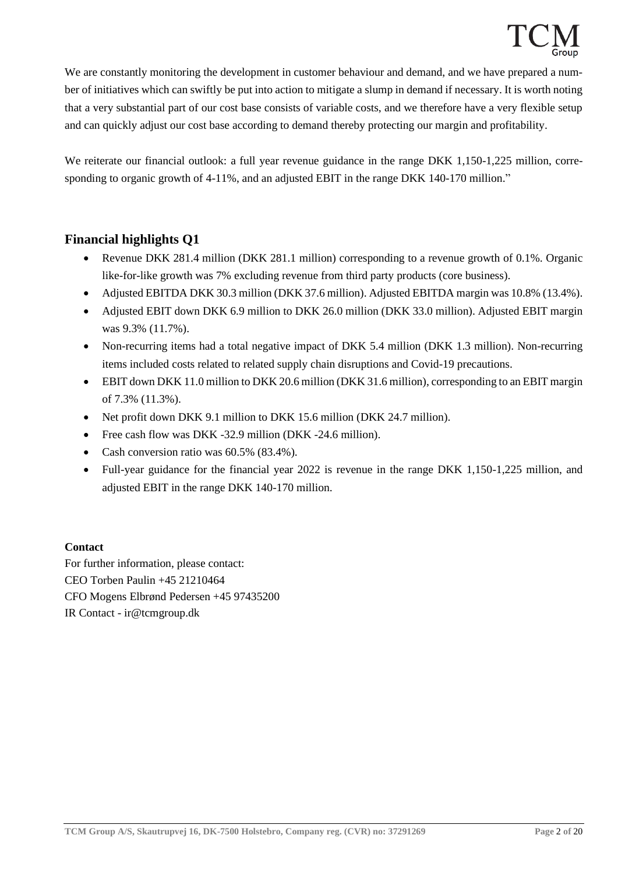We are constantly monitoring the development in customer behaviour and demand, and we have prepared a number of initiatives which can swiftly be put into action to mitigate a slump in demand if necessary. It is worth noting that a very substantial part of our cost base consists of variable costs, and we therefore have a very flexible setup and can quickly adjust our cost base according to demand thereby protecting our margin and profitability.

We reiterate our financial outlook: a full year revenue guidance in the range DKK 1,150-1,225 million, corresponding to organic growth of 4-11%, and an adjusted EBIT in the range DKK 140-170 million."

### **Financial highlights Q1**

- Revenue DKK 281.4 million (DKK 281.1 million) corresponding to a revenue growth of 0.1%. Organic like-for-like growth was 7% excluding revenue from third party products (core business).
- Adjusted EBITDA DKK 30.3 million (DKK 37.6 million). Adjusted EBITDA margin was 10.8% (13.4%).
- Adjusted EBIT down DKK 6.9 million to DKK 26.0 million (DKK 33.0 million). Adjusted EBIT margin was 9.3% (11.7%).
- Non-recurring items had a total negative impact of DKK 5.4 million (DKK 1.3 million). Non-recurring items included costs related to related supply chain disruptions and Covid-19 precautions.
- EBIT down DKK 11.0 million to DKK 20.6 million (DKK 31.6 million), corresponding to an EBIT margin of 7.3% (11.3%).
- Net profit down DKK 9.1 million to DKK 15.6 million (DKK 24.7 million).
- Free cash flow was DKK -32.9 million (DKK -24.6 million).
- Cash conversion ratio was 60.5% (83.4%).
- Full-year guidance for the financial year 2022 is revenue in the range DKK 1,150-1,225 million, and adjusted EBIT in the range DKK 140-170 million.

#### **Contact**

For further information, please contact: CEO Torben Paulin +45 21210464 CFO Mogens Elbrønd Pedersen +45 97435200 IR Contact - ir@tcmgroup.dk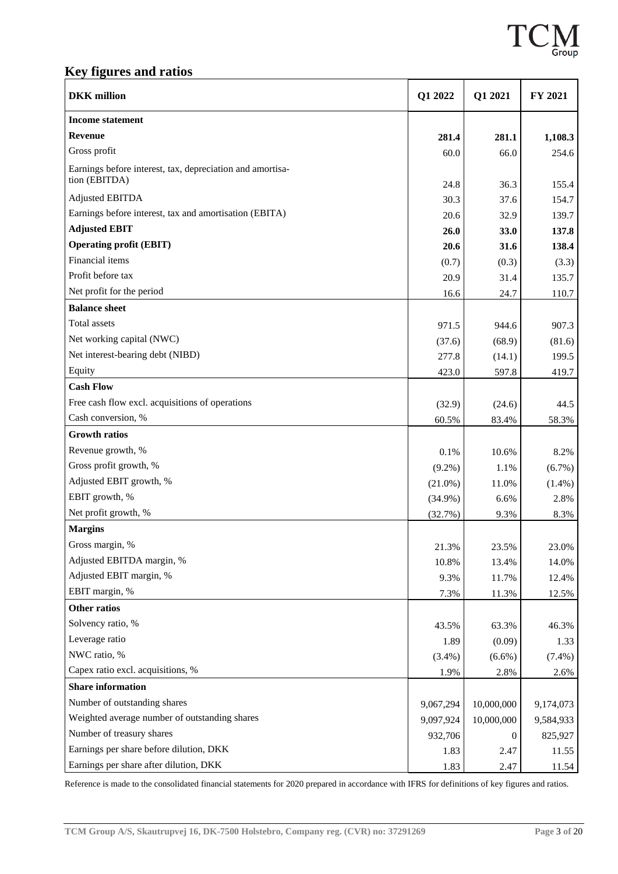

# **Key figures and ratios**

| <b>DKK</b> million                                                         | Q1 2022    | Q1 2021    | FY 2021   |
|----------------------------------------------------------------------------|------------|------------|-----------|
| <b>Income statement</b>                                                    |            |            |           |
| <b>Revenue</b>                                                             | 281.4      | 281.1      | 1,108.3   |
| Gross profit                                                               | 60.0       | 66.0       | 254.6     |
| Earnings before interest, tax, depreciation and amortisa-<br>tion (EBITDA) | 24.8       | 36.3       | 155.4     |
| <b>Adjusted EBITDA</b>                                                     | 30.3       | 37.6       | 154.7     |
| Earnings before interest, tax and amortisation (EBITA)                     | 20.6       | 32.9       | 139.7     |
| <b>Adjusted EBIT</b>                                                       | 26.0       | 33.0       | 137.8     |
| <b>Operating profit (EBIT)</b>                                             | 20.6       | 31.6       | 138.4     |
| Financial items                                                            | (0.7)      | (0.3)      | (3.3)     |
| Profit before tax                                                          | 20.9       | 31.4       | 135.7     |
| Net profit for the period                                                  | 16.6       | 24.7       | 110.7     |
| <b>Balance sheet</b>                                                       |            |            |           |
| Total assets                                                               | 971.5      | 944.6      | 907.3     |
| Net working capital (NWC)                                                  | (37.6)     | (68.9)     | (81.6)    |
| Net interest-bearing debt (NIBD)                                           | 277.8      | (14.1)     | 199.5     |
| Equity                                                                     | 423.0      | 597.8      | 419.7     |
| <b>Cash Flow</b>                                                           |            |            |           |
| Free cash flow excl. acquisitions of operations                            | (32.9)     | (24.6)     | 44.5      |
| Cash conversion, %                                                         | 60.5%      | 83.4%      | 58.3%     |
| <b>Growth ratios</b>                                                       |            |            |           |
| Revenue growth, %                                                          | 0.1%       | 10.6%      | 8.2%      |
| Gross profit growth, %                                                     | $(9.2\%)$  | 1.1%       | $(6.7\%)$ |
| Adjusted EBIT growth, %                                                    | $(21.0\%)$ | 11.0%      | $(1.4\%)$ |
| EBIT growth, %                                                             | $(34.9\%)$ | 6.6%       | 2.8%      |
| Net profit growth, %                                                       | (32.7%)    | 9.3%       | 8.3%      |
| <b>Margins</b>                                                             |            |            |           |
| Gross margin, %                                                            | 21.3%      | 23.5%      | 23.0%     |
| Adjusted EBITDA margin, %                                                  | 10.8%      | 13.4%      | 14.0%     |
| Adjusted EBIT margin, %                                                    | 9.3%       | 11.7%      | 12.4%     |
| EBIT margin, %                                                             | 7.3%       | 11.3%      | 12.5%     |
| <b>Other ratios</b>                                                        |            |            |           |
| Solvency ratio, %                                                          | 43.5%      | 63.3%      | 46.3%     |
| Leverage ratio                                                             | 1.89       | (0.09)     | 1.33      |
| NWC ratio, %                                                               | $(3.4\%)$  | $(6.6\%)$  | $(7.4\%)$ |
| Capex ratio excl. acquisitions, %                                          | 1.9%       | 2.8%       | 2.6%      |
| <b>Share information</b>                                                   |            |            |           |
| Number of outstanding shares                                               | 9,067,294  | 10,000,000 | 9,174,073 |
| Weighted average number of outstanding shares                              | 9,097,924  | 10,000,000 | 9,584,933 |
| Number of treasury shares                                                  | 932,706    | $\theta$   | 825,927   |
| Earnings per share before dilution, DKK                                    | 1.83       | 2.47       | 11.55     |
| Earnings per share after dilution, DKK                                     | 1.83       | 2.47       | 11.54     |

Reference is made to the consolidated financial statements for 2020 prepared in accordance with IFRS for definitions of key figures and ratios.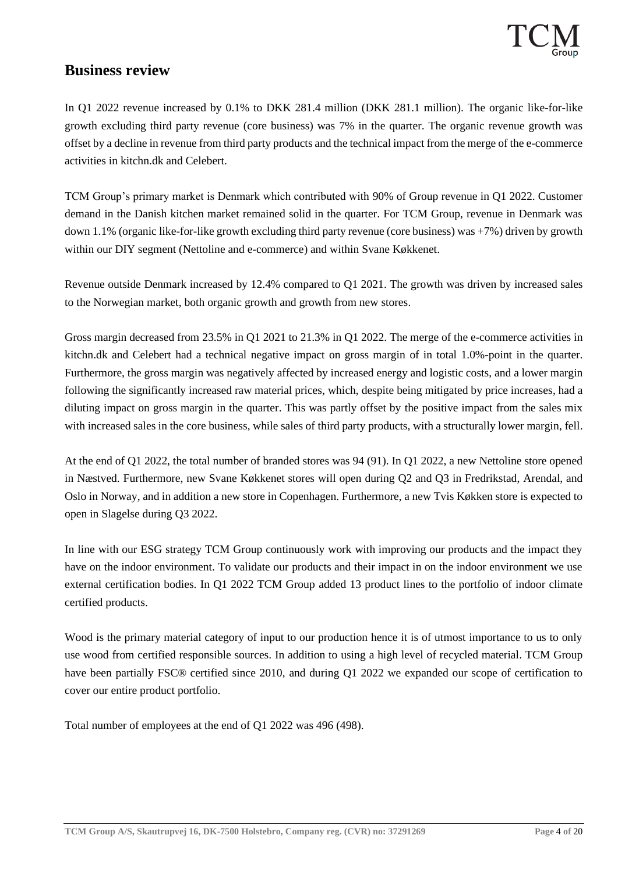# **Business review**

In Q1 2022 revenue increased by 0.1% to DKK 281.4 million (DKK 281.1 million). The organic like-for-like growth excluding third party revenue (core business) was 7% in the quarter. The organic revenue growth was offset by a decline in revenue from third party products and the technical impact from the merge of the e-commerce activities in kitchn.dk and Celebert.

TCM Group's primary market is Denmark which contributed with 90% of Group revenue in Q1 2022. Customer demand in the Danish kitchen market remained solid in the quarter. For TCM Group, revenue in Denmark was down 1.1% (organic like-for-like growth excluding third party revenue (core business) was  $+7\%$ ) driven by growth within our DIY segment (Nettoline and e-commerce) and within Svane Køkkenet.

Revenue outside Denmark increased by 12.4% compared to Q1 2021. The growth was driven by increased sales to the Norwegian market, both organic growth and growth from new stores.

Gross margin decreased from 23.5% in Q1 2021 to 21.3% in Q1 2022. The merge of the e-commerce activities in kitchn.dk and Celebert had a technical negative impact on gross margin of in total 1.0%-point in the quarter. Furthermore, the gross margin was negatively affected by increased energy and logistic costs, and a lower margin following the significantly increased raw material prices, which, despite being mitigated by price increases, had a diluting impact on gross margin in the quarter. This was partly offset by the positive impact from the sales mix with increased sales in the core business, while sales of third party products, with a structurally lower margin, fell.

At the end of Q1 2022, the total number of branded stores was 94 (91). In Q1 2022, a new Nettoline store opened in Næstved. Furthermore, new Svane Køkkenet stores will open during Q2 and Q3 in Fredrikstad, Arendal, and Oslo in Norway, and in addition a new store in Copenhagen. Furthermore, a new Tvis Køkken store is expected to open in Slagelse during Q3 2022.

In line with our ESG strategy TCM Group continuously work with improving our products and the impact they have on the indoor environment. To validate our products and their impact in on the indoor environment we use external certification bodies. In Q1 2022 TCM Group added 13 product lines to the portfolio of indoor climate certified products.

Wood is the primary material category of input to our production hence it is of utmost importance to us to only use wood from certified responsible sources. In addition to using a high level of recycled material. TCM Group have been partially FSC® certified since 2010, and during Q1 2022 we expanded our scope of certification to cover our entire product portfolio.

Total number of employees at the end of Q1 2022 was 496 (498).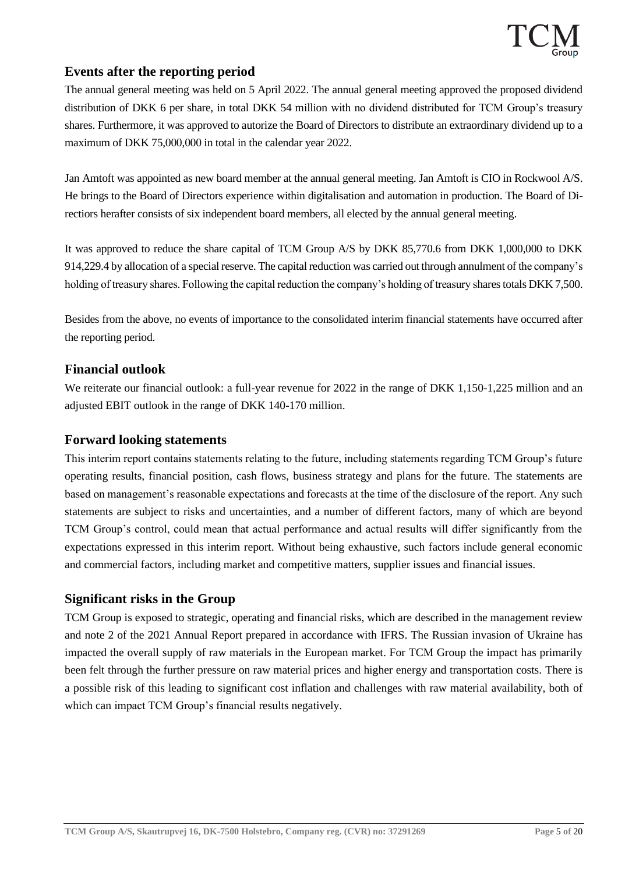### **Events after the reporting period**

The annual general meeting was held on 5 April 2022. The annual general meeting approved the proposed dividend distribution of DKK 6 per share, in total DKK 54 million with no dividend distributed for TCM Group's treasury shares. Furthermore, it was approved to autorize the Board of Directors to distribute an extraordinary dividend up to a maximum of DKK 75,000,000 in total in the calendar year 2022.

Jan Amtoft was appointed as new board member at the annual general meeting. Jan Amtoft is CIO in Rockwool A/S. He brings to the Board of Directors experience within digitalisation and automation in production. The Board of Directiors herafter consists of six independent board members, all elected by the annual general meeting.

It was approved to reduce the share capital of TCM Group A/S by DKK 85,770.6 from DKK 1,000,000 to DKK 914,229.4 by allocation of a special reserve. The capital reduction was carried out through annulment of the company's holding of treasury shares. Following the capital reduction the company's holding of treasury shares totals DKK 7,500.

Besides from the above, no events of importance to the consolidated interim financial statements have occurred after the reporting period.

### **Financial outlook**

We reiterate our financial outlook: a full-year revenue for 2022 in the range of DKK 1,150-1,225 million and an adjusted EBIT outlook in the range of DKK 140-170 million.

### **Forward looking statements**

This interim report contains statements relating to the future, including statements regarding TCM Group's future operating results, financial position, cash flows, business strategy and plans for the future. The statements are based on management's reasonable expectations and forecasts at the time of the disclosure of the report. Any such statements are subject to risks and uncertainties, and a number of different factors, many of which are beyond TCM Group's control, could mean that actual performance and actual results will differ significantly from the expectations expressed in this interim report. Without being exhaustive, such factors include general economic and commercial factors, including market and competitive matters, supplier issues and financial issues.

### **Significant risks in the Group**

TCM Group is exposed to strategic, operating and financial risks, which are described in the management review and note 2 of the 2021 Annual Report prepared in accordance with IFRS. The Russian invasion of Ukraine has impacted the overall supply of raw materials in the European market. For TCM Group the impact has primarily been felt through the further pressure on raw material prices and higher energy and transportation costs. There is a possible risk of this leading to significant cost inflation and challenges with raw material availability, both of which can impact TCM Group's financial results negatively.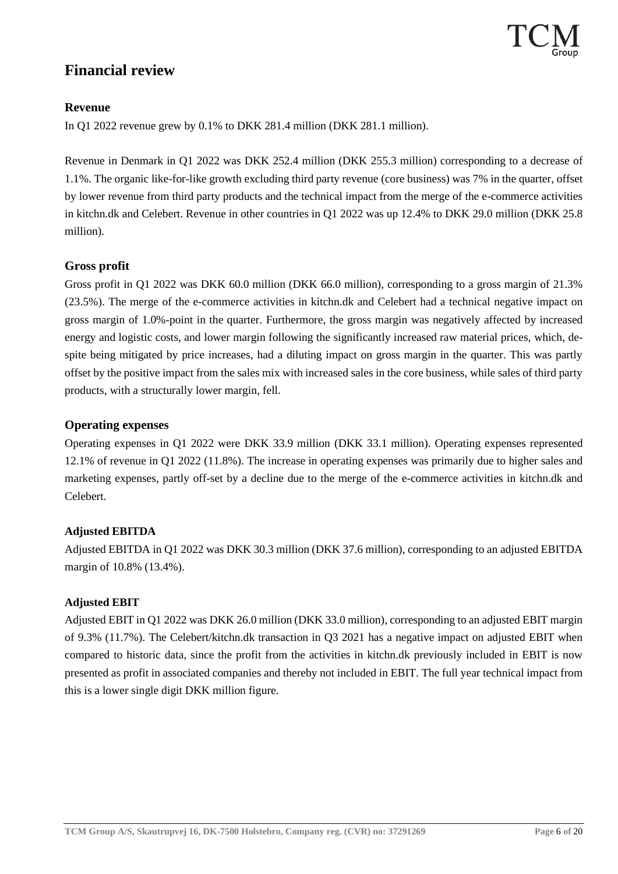# **Financial review**

### **Revenue**

In Q1 2022 revenue grew by 0.1% to DKK 281.4 million (DKK 281.1 million).

Revenue in Denmark in Q1 2022 was DKK 252.4 million (DKK 255.3 million) corresponding to a decrease of 1.1%. The organic like-for-like growth excluding third party revenue (core business) was 7% in the quarter, offset by lower revenue from third party products and the technical impact from the merge of the e-commerce activities in kitchn.dk and Celebert. Revenue in other countries in Q1 2022 was up 12.4% to DKK 29.0 million (DKK 25.8 million).

#### **Gross profit**

Gross profit in Q1 2022 was DKK 60.0 million (DKK 66.0 million), corresponding to a gross margin of 21.3% (23.5%). The merge of the e-commerce activities in kitchn.dk and Celebert had a technical negative impact on gross margin of 1.0%-point in the quarter. Furthermore, the gross margin was negatively affected by increased energy and logistic costs, and lower margin following the significantly increased raw material prices, which, despite being mitigated by price increases, had a diluting impact on gross margin in the quarter. This was partly offset by the positive impact from the sales mix with increased sales in the core business, while sales of third party products, with a structurally lower margin, fell.

#### **Operating expenses**

Operating expenses in Q1 2022 were DKK 33.9 million (DKK 33.1 million). Operating expenses represented 12.1% of revenue in Q1 2022 (11.8%). The increase in operating expenses was primarily due to higher sales and marketing expenses, partly off-set by a decline due to the merge of the e-commerce activities in kitchn.dk and Celebert.

#### **Adjusted EBITDA**

Adjusted EBITDA in Q1 2022 was DKK 30.3 million (DKK 37.6 million), corresponding to an adjusted EBITDA margin of 10.8% (13.4%).

#### **Adjusted EBIT**

Adjusted EBIT in Q1 2022 was DKK 26.0 million (DKK 33.0 million), corresponding to an adjusted EBIT margin of 9.3% (11.7%). The Celebert/kitchn.dk transaction in Q3 2021 has a negative impact on adjusted EBIT when compared to historic data, since the profit from the activities in kitchn.dk previously included in EBIT is now presented as profit in associated companies and thereby not included in EBIT. The full year technical impact from this is a lower single digit DKK million figure.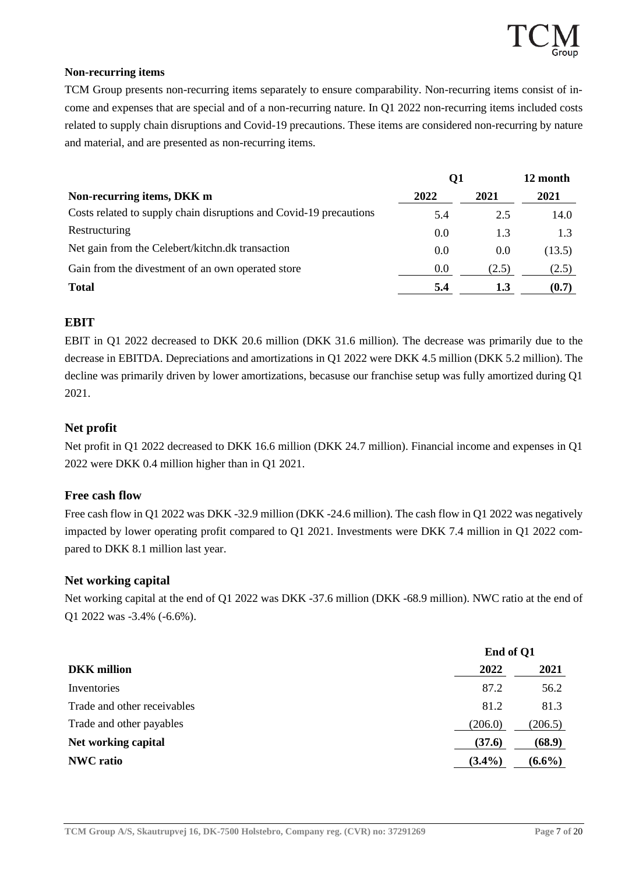#### **Non-recurring items**

TCM Group presents non-recurring items separately to ensure comparability. Non-recurring items consist of income and expenses that are special and of a non-recurring nature. In Q1 2022 non-recurring items included costs related to supply chain disruptions and Covid-19 precautions. These items are considered non-recurring by nature and material, and are presented as non-recurring items.

|                                                                    | Q1   |       | 12 month |  |
|--------------------------------------------------------------------|------|-------|----------|--|
| Non-recurring items, DKK m                                         | 2022 | 2021  | 2021     |  |
| Costs related to supply chain disruptions and Covid-19 precautions | 5.4  | 2.5   | 14.0     |  |
| Restructuring                                                      | 0.0  | 1.3   | 1.3      |  |
| Net gain from the Celebert/kitchn.dk transaction                   | 0.0  | 0.0   | (13.5)   |  |
| Gain from the divestment of an own operated store                  | 0.0  | (2.5) | (2.5)    |  |
| <b>Total</b>                                                       | 5.4  | 1.3   | (0.7)    |  |

#### **EBIT**

EBIT in Q1 2022 decreased to DKK 20.6 million (DKK 31.6 million). The decrease was primarily due to the decrease in EBITDA. Depreciations and amortizations in Q1 2022 were DKK 4.5 million (DKK 5.2 million). The decline was primarily driven by lower amortizations, becasuse our franchise setup was fully amortized during Q1 2021.

#### **Net profit**

Net profit in Q1 2022 decreased to DKK 16.6 million (DKK 24.7 million). Financial income and expenses in Q1 2022 were DKK 0.4 million higher than in Q1 2021.

#### **Free cash flow**

Free cash flow in Q1 2022 was DKK -32.9 million (DKK -24.6 million). The cash flow in Q1 2022 was negatively impacted by lower operating profit compared to Q1 2021. Investments were DKK 7.4 million in Q1 2022 compared to DKK 8.1 million last year.

#### **Net working capital**

Net working capital at the end of Q1 2022 was DKK -37.6 million (DKK -68.9 million). NWC ratio at the end of Q1 2022 was -3.4% (-6.6%).

|                             | End of Q1 |           |  |
|-----------------------------|-----------|-----------|--|
| <b>DKK</b> million          | 2022      | 2021      |  |
| Inventories                 | 87.2      | 56.2      |  |
| Trade and other receivables | 81.2      | 81.3      |  |
| Trade and other payables    | (206.0)   | (206.5)   |  |
| Net working capital         | (37.6)    | (68.9)    |  |
| <b>NWC</b> ratio            | $(3.4\%)$ | $(6.6\%)$ |  |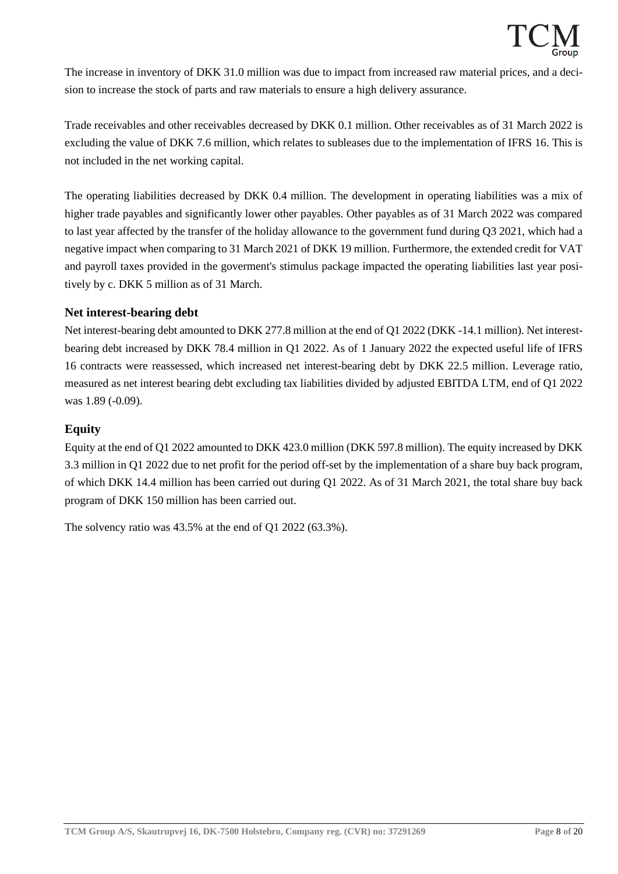The increase in inventory of DKK 31.0 million was due to impact from increased raw material prices, and a decision to increase the stock of parts and raw materials to ensure a high delivery assurance.

Trade receivables and other receivables decreased by DKK 0.1 million. Other receivables as of 31 March 2022 is excluding the value of DKK 7.6 million, which relates to subleases due to the implementation of IFRS 16. This is not included in the net working capital.

The operating liabilities decreased by DKK 0.4 million. The development in operating liabilities was a mix of higher trade payables and significantly lower other payables. Other payables as of 31 March 2022 was compared to last year affected by the transfer of the holiday allowance to the government fund during Q3 2021, which had a negative impact when comparing to 31 March 2021 of DKK 19 million. Furthermore, the extended credit for VAT and payroll taxes provided in the goverment's stimulus package impacted the operating liabilities last year positively by c. DKK 5 million as of 31 March.

#### **Net interest-bearing debt**

Net interest-bearing debt amounted to DKK 277.8 million at the end of Q1 2022 (DKK -14.1 million). Net interestbearing debt increased by DKK 78.4 million in Q1 2022. As of 1 January 2022 the expected useful life of IFRS 16 contracts were reassessed, which increased net interest-bearing debt by DKK 22.5 million. Leverage ratio, measured as net interest bearing debt excluding tax liabilities divided by adjusted EBITDA LTM, end of Q1 2022 was 1.89 (-0.09).

#### **Equity**

Equity at the end of Q1 2022 amounted to DKK 423.0 million (DKK 597.8 million). The equity increased by DKK 3.3 million in Q1 2022 due to net profit for the period off-set by the implementation of a share buy back program, of which DKK 14.4 million has been carried out during Q1 2022. As of 31 March 2021, the total share buy back program of DKK 150 million has been carried out.

The solvency ratio was 43.5% at the end of Q1 2022 (63.3%).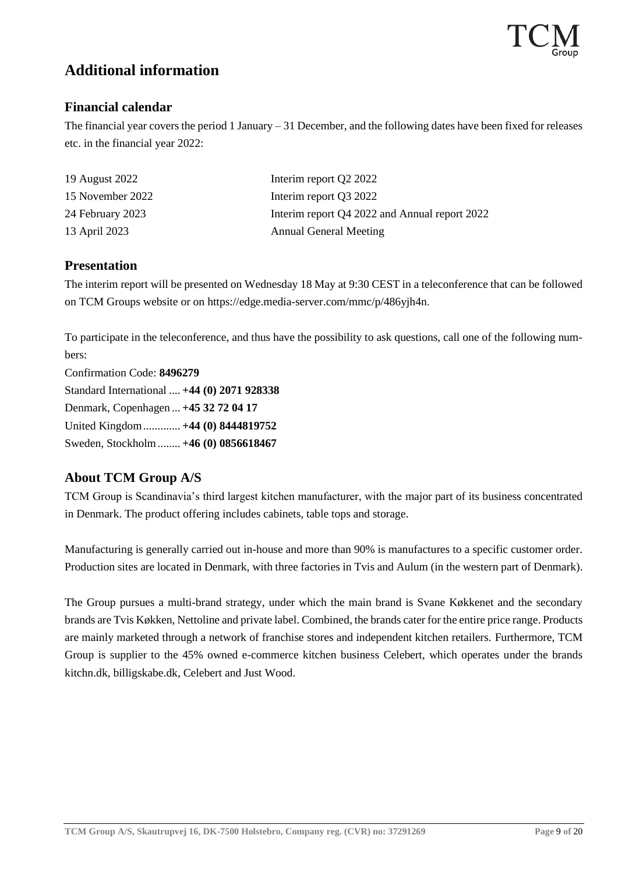# **Additional information**

### **Financial calendar**

The financial year covers the period 1 January – 31 December, and the following dates have been fixed for releases etc. in the financial year 2022:

| 19 August 2022   | Interim report Q2 2022                        |
|------------------|-----------------------------------------------|
| 15 November 2022 | Interim report Q3 2022                        |
| 24 February 2023 | Interim report Q4 2022 and Annual report 2022 |
| 13 April 2023    | <b>Annual General Meeting</b>                 |

### **Presentation**

The interim report will be presented on Wednesday 18 May at 9:30 CEST in a teleconference that can be followed on TCM Groups website or on https://edge.media-server.com/mmc/p/486yjh4n.

To participate in the teleconference, and thus have the possibility to ask questions, call one of the following numbers:

Confirmation Code: **8496279** Standard International .... **+44 (0) 2071 928338** Denmark, Copenhagen ... **+45 32 72 04 17** United Kingdom............. **+44 (0) 8444819752** Sweden, Stockholm........ **+46 (0) 0856618467**

# **About TCM Group A/S**

TCM Group is Scandinavia's third largest kitchen manufacturer, with the major part of its business concentrated in Denmark. The product offering includes cabinets, table tops and storage.

Manufacturing is generally carried out in-house and more than 90% is manufactures to a specific customer order. Production sites are located in Denmark, with three factories in Tvis and Aulum (in the western part of Denmark).

The Group pursues a multi-brand strategy, under which the main brand is Svane Køkkenet and the secondary brands are Tvis Køkken, Nettoline and private label. Combined, the brands cater for the entire price range. Products are mainly marketed through a network of franchise stores and independent kitchen retailers. Furthermore, TCM Group is supplier to the 45% owned e-commerce kitchen business Celebert, which operates under the brands kitchn.dk, billigskabe.dk, Celebert and Just Wood.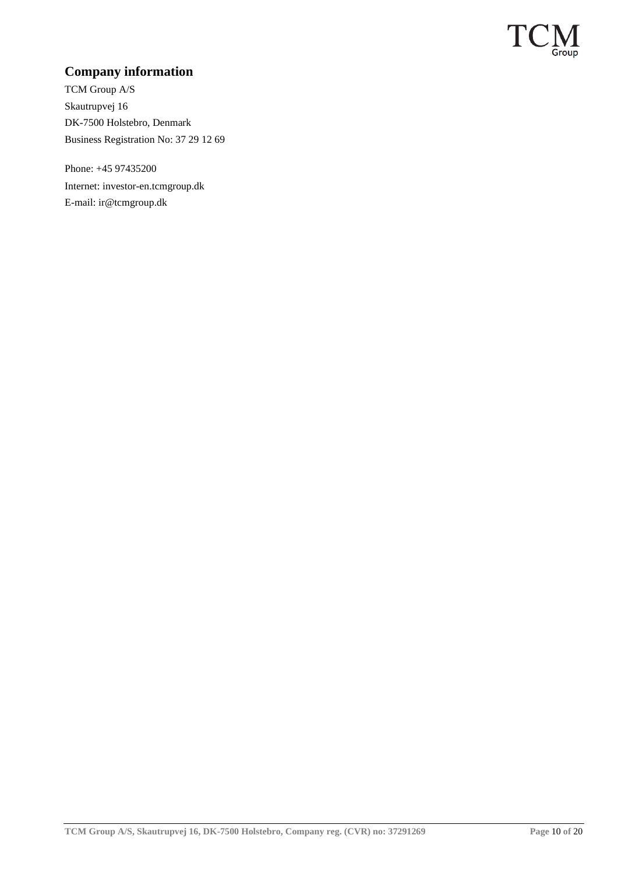

# **Company information**

TCM Group A/S Skautrupvej 16 DK-7500 Holstebro, Denmark Business Registration No: 37 29 12 69

Phone: +45 97435200 Internet: investor-en.tcmgroup.dk E-mail: ir@tcmgroup.dk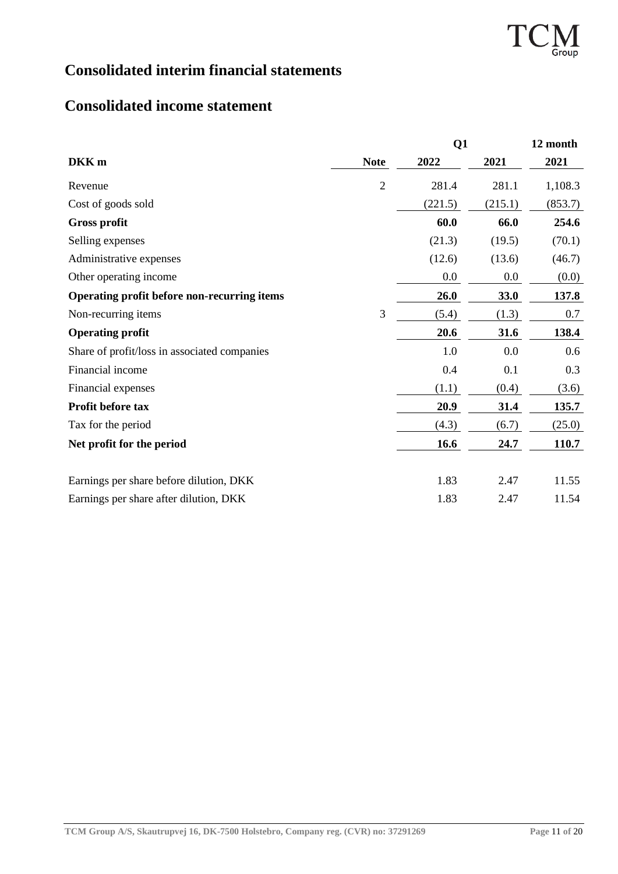

# **Consolidated interim financial statements**

# **Consolidated income statement**

|                                              |                | Q1      |         | 12 month |
|----------------------------------------------|----------------|---------|---------|----------|
| DKK <sub>m</sub>                             | <b>Note</b>    | 2022    | 2021    | 2021     |
| Revenue                                      | $\overline{2}$ | 281.4   | 281.1   | 1,108.3  |
| Cost of goods sold                           |                | (221.5) | (215.1) | (853.7)  |
| <b>Gross profit</b>                          |                | 60.0    | 66.0    | 254.6    |
| Selling expenses                             |                | (21.3)  | (19.5)  | (70.1)   |
| Administrative expenses                      |                | (12.6)  | (13.6)  | (46.7)   |
| Other operating income                       |                | 0.0     | 0.0     | (0.0)    |
| Operating profit before non-recurring items  |                | 26.0    | 33.0    | 137.8    |
| Non-recurring items                          | 3              | (5.4)   | (1.3)   | 0.7      |
| <b>Operating profit</b>                      |                | 20.6    | 31.6    | 138.4    |
| Share of profit/loss in associated companies |                | 1.0     | 0.0     | 0.6      |
| Financial income                             |                | 0.4     | 0.1     | 0.3      |
| Financial expenses                           |                | (1.1)   | (0.4)   | (3.6)    |
| Profit before tax                            |                | 20.9    | 31.4    | 135.7    |
| Tax for the period                           |                | (4.3)   | (6.7)   | (25.0)   |
| Net profit for the period                    |                | 16.6    | 24.7    | 110.7    |
| Earnings per share before dilution, DKK      |                | 1.83    | 2.47    | 11.55    |
|                                              |                | 1.83    | 2.47    | 11.54    |
| Earnings per share after dilution, DKK       |                |         |         |          |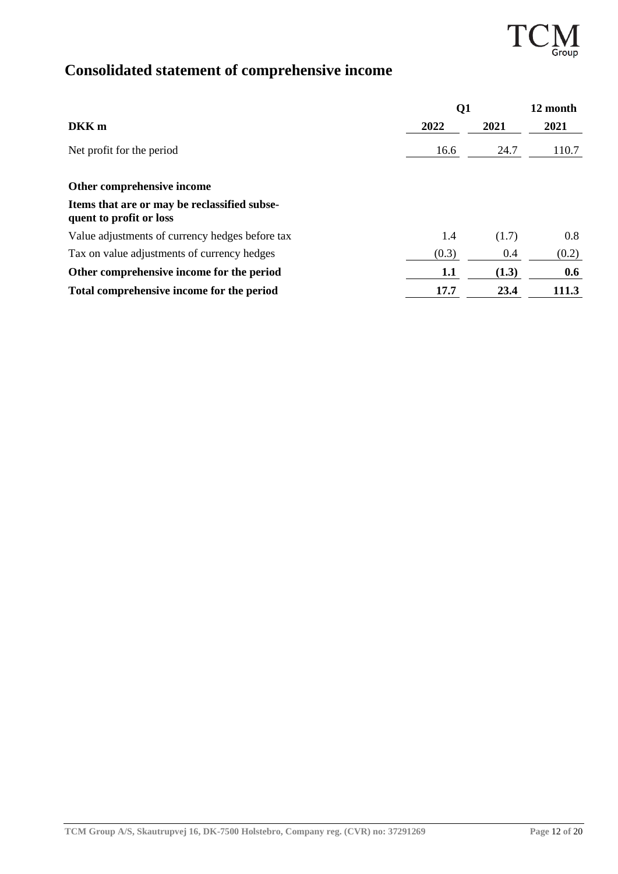.<br>roup

# **Consolidated statement of comprehensive income**

|                                                                         | $\mathbf{Q}$ |       | 12 month |
|-------------------------------------------------------------------------|--------------|-------|----------|
| DKK <sub>m</sub>                                                        | 2022         | 2021  | 2021     |
| Net profit for the period                                               | 16.6         | 24.7  | 110.7    |
| Other comprehensive income                                              |              |       |          |
| Items that are or may be reclassified subse-<br>quent to profit or loss |              |       |          |
| Value adjustments of currency hedges before tax                         | 1.4          | (1.7) | 0.8      |
| Tax on value adjustments of currency hedges                             | (0.3)        | 0.4   | (0.2)    |
| Other comprehensive income for the period                               | 1.1          | (1.3) | 0.6      |
| Total comprehensive income for the period                               | 17.7         | 23.4  | 111.3    |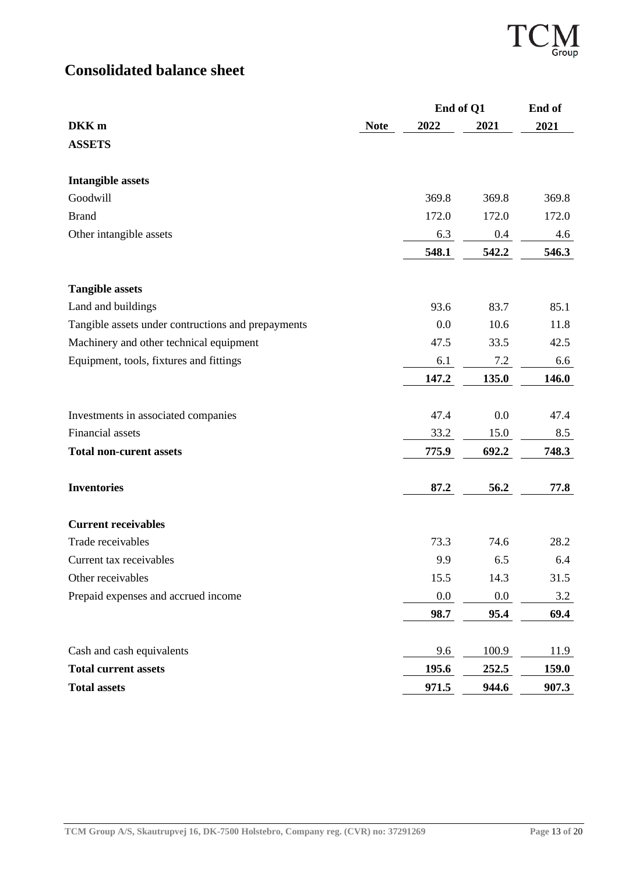# **Consolidated balance sheet**

|                                                    |             | End of Q1 |       | End of |  |
|----------------------------------------------------|-------------|-----------|-------|--------|--|
| DKK <sub>m</sub>                                   | <b>Note</b> | 2022      | 2021  | 2021   |  |
| <b>ASSETS</b>                                      |             |           |       |        |  |
| <b>Intangible assets</b>                           |             |           |       |        |  |
| Goodwill                                           |             | 369.8     | 369.8 | 369.8  |  |
| <b>Brand</b>                                       |             | 172.0     | 172.0 | 172.0  |  |
| Other intangible assets                            |             | 6.3       | 0.4   | 4.6    |  |
|                                                    |             | 548.1     | 542.2 | 546.3  |  |
| <b>Tangible assets</b>                             |             |           |       |        |  |
| Land and buildings                                 |             | 93.6      | 83.7  | 85.1   |  |
| Tangible assets under contructions and prepayments |             | 0.0       | 10.6  | 11.8   |  |
| Machinery and other technical equipment            |             | 47.5      | 33.5  | 42.5   |  |
| Equipment, tools, fixtures and fittings            |             | 6.1       | 7.2   | 6.6    |  |
|                                                    |             | 147.2     | 135.0 | 146.0  |  |
| Investments in associated companies                |             | 47.4      | 0.0   | 47.4   |  |
| Financial assets                                   |             | 33.2      | 15.0  | 8.5    |  |
| <b>Total non-curent assets</b>                     |             | 775.9     | 692.2 | 748.3  |  |
| <b>Inventories</b>                                 |             | 87.2      | 56.2  | 77.8   |  |
| <b>Current receivables</b>                         |             |           |       |        |  |
| Trade receivables                                  |             | 73.3      | 74.6  | 28.2   |  |
| Current tax receivables                            |             | 9.9       | 6.5   | 6.4    |  |
| Other receivables                                  |             | 15.5      | 14.3  | 31.5   |  |
| Prepaid expenses and accrued income                |             | $0.0\,$   | 0.0   | 3.2    |  |
|                                                    |             | 98.7      | 95.4  | 69.4   |  |
| Cash and cash equivalents                          |             | 9.6       | 100.9 | 11.9   |  |
| <b>Total current assets</b>                        |             | 195.6     | 252.5 | 159.0  |  |
| <b>Total assets</b>                                |             | 971.5     | 944.6 | 907.3  |  |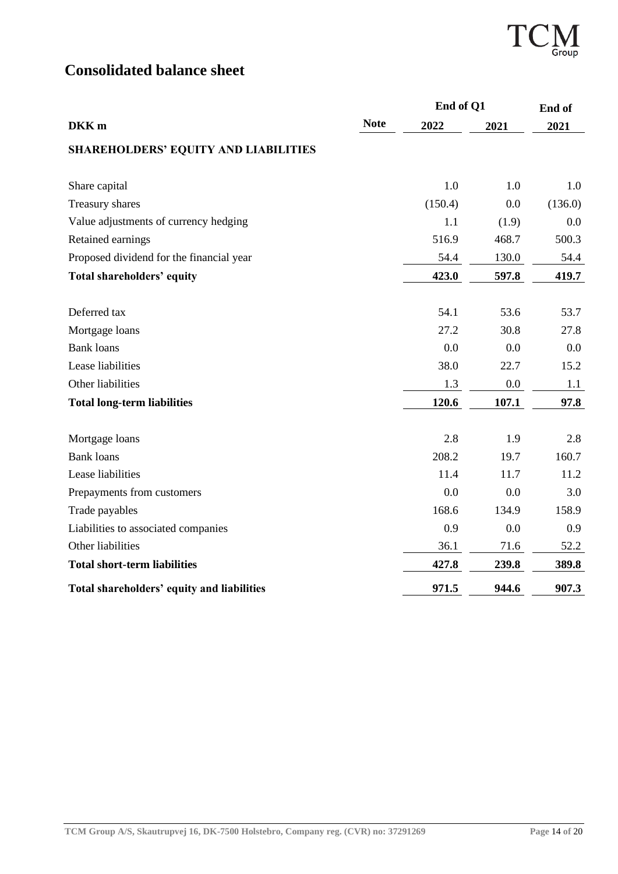

# **Consolidated balance sheet**

|                                             |             | End of Q1 |       | End of  |  |
|---------------------------------------------|-------------|-----------|-------|---------|--|
| DKK <sub>m</sub>                            | <b>Note</b> | 2022      | 2021  | 2021    |  |
| <b>SHAREHOLDERS' EQUITY AND LIABILITIES</b> |             |           |       |         |  |
| Share capital                               |             | 1.0       | 1.0   | 1.0     |  |
| Treasury shares                             |             | (150.4)   | 0.0   | (136.0) |  |
| Value adjustments of currency hedging       |             | 1.1       | (1.9) | 0.0     |  |
| Retained earnings                           |             | 516.9     | 468.7 | 500.3   |  |
| Proposed dividend for the financial year    |             | 54.4      | 130.0 | 54.4    |  |
| <b>Total shareholders' equity</b>           |             | 423.0     | 597.8 | 419.7   |  |
|                                             |             |           |       |         |  |
| Deferred tax                                |             | 54.1      | 53.6  | 53.7    |  |
| Mortgage loans                              |             | 27.2      | 30.8  | 27.8    |  |
| <b>Bank</b> loans                           |             | 0.0       | 0.0   | 0.0     |  |
| Lease liabilities                           |             | 38.0      | 22.7  | 15.2    |  |
| Other liabilities                           |             | 1.3       | 0.0   | 1.1     |  |
| <b>Total long-term liabilities</b>          |             | 120.6     | 107.1 | 97.8    |  |
| Mortgage loans                              |             | 2.8       | 1.9   | 2.8     |  |
| <b>Bank loans</b>                           |             | 208.2     | 19.7  | 160.7   |  |
| Lease liabilities                           |             | 11.4      | 11.7  | 11.2    |  |
| Prepayments from customers                  |             | 0.0       | 0.0   | 3.0     |  |
| Trade payables                              |             | 168.6     | 134.9 | 158.9   |  |
| Liabilities to associated companies         |             | 0.9       | 0.0   | 0.9     |  |
| Other liabilities                           |             | 36.1      | 71.6  | 52.2    |  |
| <b>Total short-term liabilities</b>         |             | 427.8     | 239.8 | 389.8   |  |
| Total shareholders' equity and liabilities  |             | 971.5     | 944.6 | 907.3   |  |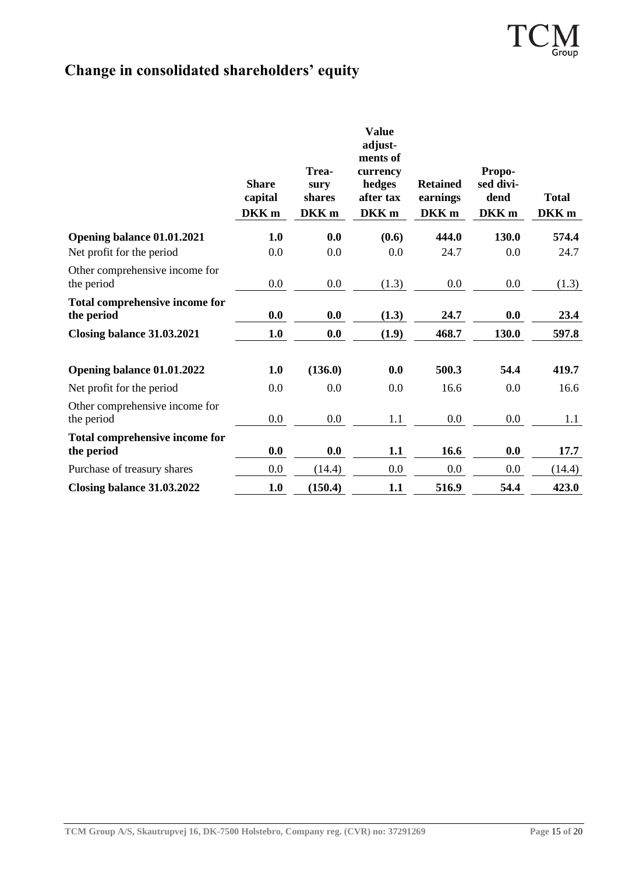# **Change in consolidated shareholders' equity**

|                                                     | <b>Share</b><br>capital<br>DKK <sub>m</sub> | Trea-<br>sury<br>shares<br>DKK <sub>m</sub> | <b>Value</b><br>adjust-<br>ments of<br>currency<br>hedges<br>after tax<br>DKK <sub>m</sub> | <b>Retained</b><br>earnings<br>DKK <sub>m</sub> | Propo-<br>sed divi-<br>dend<br>DKK <sub>m</sub> | <b>Total</b><br>DKK <sub>m</sub> |
|-----------------------------------------------------|---------------------------------------------|---------------------------------------------|--------------------------------------------------------------------------------------------|-------------------------------------------------|-------------------------------------------------|----------------------------------|
| Opening balance 01.01.2021                          | 1.0                                         | 0.0                                         | (0.6)                                                                                      | 444.0                                           | 130.0                                           | 574.4                            |
| Net profit for the period                           | 0.0                                         | 0.0                                         | 0.0                                                                                        | 24.7                                            | 0.0                                             | 24.7                             |
| Other comprehensive income for<br>the period        | 0.0                                         | 0.0                                         | (1.3)                                                                                      | 0.0                                             | $0.0\,$                                         | (1.3)                            |
| <b>Total comprehensive income for</b><br>the period | 0.0                                         | 0.0                                         | (1.3)                                                                                      | 24.7                                            | 0.0                                             | 23.4                             |
| Closing balance 31.03.2021                          | 1.0                                         | 0.0                                         | (1.9)                                                                                      | 468.7                                           | 130.0                                           | 597.8                            |
| Opening balance 01.01.2022                          | 1.0                                         | (136.0)                                     | 0.0                                                                                        | 500.3                                           | 54.4                                            | 419.7                            |
| Net profit for the period                           | 0.0                                         | 0.0                                         | 0.0                                                                                        | 16.6                                            | 0.0                                             | 16.6                             |
| Other comprehensive income for<br>the period        | 0.0                                         | 0.0                                         | 1.1                                                                                        | 0.0                                             | $0.0\,$                                         | 1.1                              |
| Total comprehensive income for<br>the period        | 0.0                                         | 0.0                                         | 1.1                                                                                        | 16.6                                            | 0.0                                             | 17.7                             |
| Purchase of treasury shares                         | 0.0                                         | (14.4)                                      | 0.0                                                                                        | 0.0                                             | $0.0\,$                                         | (14.4)                           |
| Closing balance 31.03.2022                          | 1.0                                         | (150.4)                                     | 1.1                                                                                        | 516.9                                           | 54.4                                            | 423.0                            |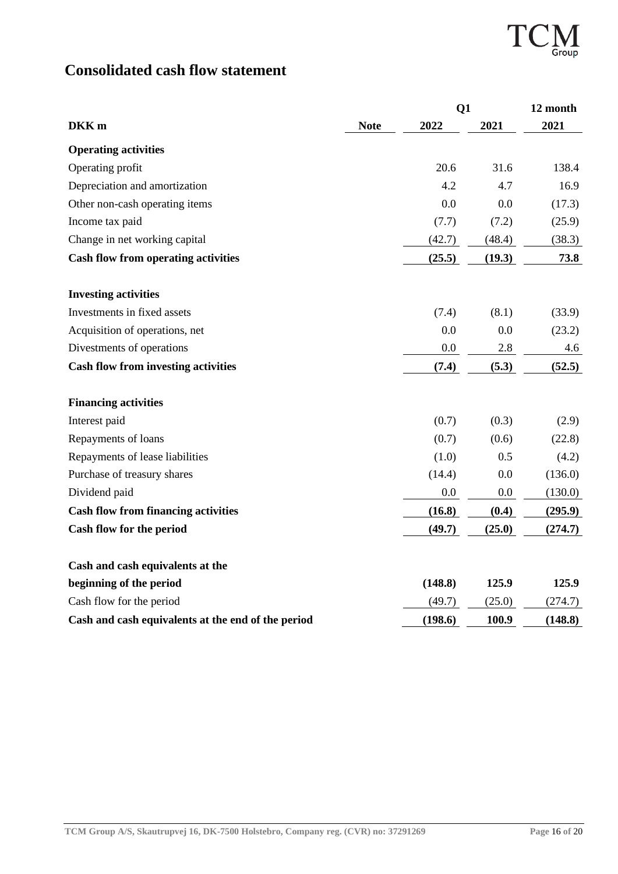T<sup>(</sup> — v<br>Group

# **Consolidated cash flow statement**

|                                                    |             | Q1      |        | 12 month |
|----------------------------------------------------|-------------|---------|--------|----------|
| DKK <sub>m</sub>                                   | <b>Note</b> | 2022    | 2021   | 2021     |
| <b>Operating activities</b>                        |             |         |        |          |
| Operating profit                                   |             | 20.6    | 31.6   | 138.4    |
| Depreciation and amortization                      |             | 4.2     | 4.7    | 16.9     |
| Other non-cash operating items                     |             | 0.0     | 0.0    | (17.3)   |
| Income tax paid                                    |             | (7.7)   | (7.2)  | (25.9)   |
| Change in net working capital                      |             | (42.7)  | (48.4) | (38.3)   |
| <b>Cash flow from operating activities</b>         |             | (25.5)  | (19.3) | 73.8     |
| <b>Investing activities</b>                        |             |         |        |          |
| Investments in fixed assets                        |             | (7.4)   | (8.1)  | (33.9)   |
| Acquisition of operations, net                     |             | 0.0     | 0.0    | (23.2)   |
| Divestments of operations                          |             | 0.0     | 2.8    | 4.6      |
| <b>Cash flow from investing activities</b>         |             | (7.4)   | (5.3)  | (52.5)   |
| <b>Financing activities</b>                        |             |         |        |          |
| Interest paid                                      |             | (0.7)   | (0.3)  | (2.9)    |
| Repayments of loans                                |             | (0.7)   | (0.6)  | (22.8)   |
| Repayments of lease liabilities                    |             | (1.0)   | 0.5    | (4.2)    |
| Purchase of treasury shares                        |             | (14.4)  | 0.0    | (136.0)  |
| Dividend paid                                      |             | 0.0     | 0.0    | (130.0)  |
| <b>Cash flow from financing activities</b>         |             | (16.8)  | (0.4)  | (295.9)  |
| Cash flow for the period                           |             | (49.7)  | (25.0) | (274.7)  |
| Cash and cash equivalents at the                   |             |         |        |          |
| beginning of the period                            |             | (148.8) | 125.9  | 125.9    |
| Cash flow for the period                           |             | (49.7)  | (25.0) | (274.7)  |
| Cash and cash equivalents at the end of the period |             | (198.6) | 100.9  | (148.8)  |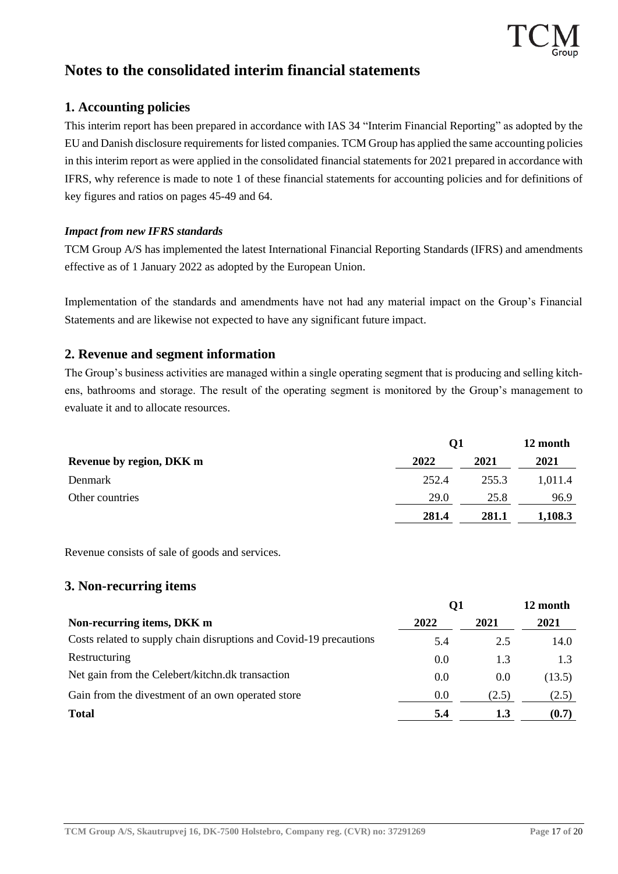

# **Notes to the consolidated interim financial statements**

### **1. Accounting policies**

This interim report has been prepared in accordance with IAS 34 "Interim Financial Reporting" as adopted by the EU and Danish disclosure requirements for listed companies. TCM Group has applied the same accounting policies in this interim report as were applied in the consolidated financial statements for 2021 prepared in accordance with IFRS, why reference is made to note 1 of these financial statements for accounting policies and for definitions of key figures and ratios on pages 45-49 and 64.

#### *Impact from new IFRS standards*

TCM Group A/S has implemented the latest International Financial Reporting Standards (IFRS) and amendments effective as of 1 January 2022 as adopted by the European Union.

Implementation of the standards and amendments have not had any material impact on the Group's Financial Statements and are likewise not expected to have any significant future impact.

#### **2. Revenue and segment information**

The Group's business activities are managed within a single operating segment that is producing and selling kitchens, bathrooms and storage. The result of the operating segment is monitored by the Group's management to evaluate it and to allocate resources.

| Revenue by region, DKK m |       | О1    |         |  |
|--------------------------|-------|-------|---------|--|
|                          | 2022  | 2021  | 2021    |  |
| Denmark                  | 252.4 | 255.3 | 1.011.4 |  |
| Other countries          | 29.0  | 25.8  | 96.9    |  |
|                          | 281.4 | 281.1 | 1,108.3 |  |

Revenue consists of sale of goods and services.

#### **3. Non-recurring items**

|                                                                    | Q1   |       | 12 month |  |
|--------------------------------------------------------------------|------|-------|----------|--|
| Non-recurring items, DKK m                                         | 2022 | 2021  | 2021     |  |
| Costs related to supply chain disruptions and Covid-19 precautions | 5.4  | 2.5   | 14.0     |  |
| Restructuring                                                      | 0.0  | 1.3   | 1.3      |  |
| Net gain from the Celebert/kitchn.dk transaction                   | 0.0  | 0.0   | (13.5)   |  |
| Gain from the divestment of an own operated store                  | 0.0  | (2.5) | (2.5)    |  |
| <b>Total</b>                                                       | 5.4  | 1.3   | (0.7)    |  |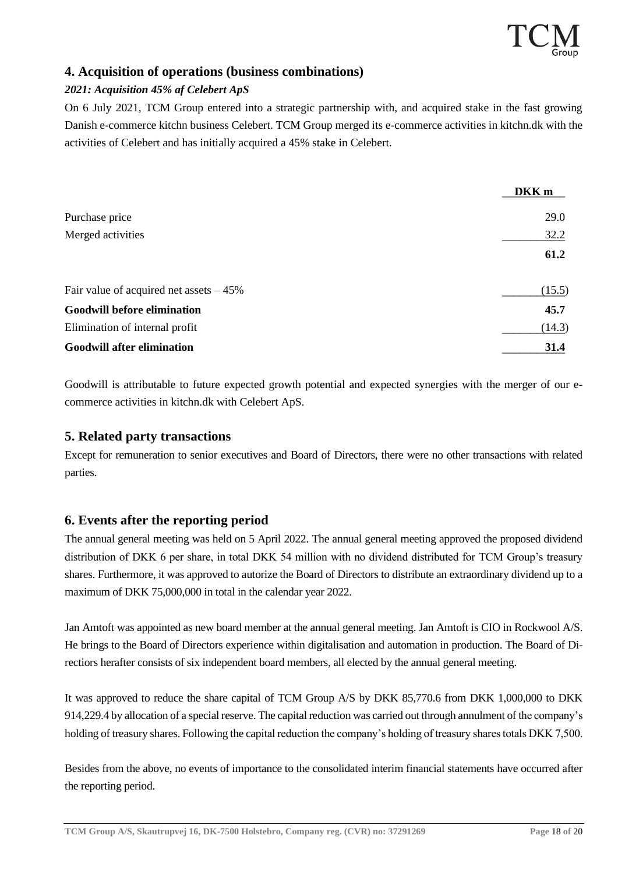#### **4. Acquisition of operations (business combinations)**

#### *2021: Acquisition 45% af Celebert ApS*

On 6 July 2021, TCM Group entered into a strategic partnership with, and acquired stake in the fast growing Danish e-commerce kitchn business Celebert. TCM Group merged its e-commerce activities in kitchn.dk with the activities of Celebert and has initially acquired a 45% stake in Celebert.

|                                           | DKK <sub>m</sub> |
|-------------------------------------------|------------------|
| Purchase price                            | 29.0             |
| Merged activities                         | 32.2             |
|                                           | 61.2             |
| Fair value of acquired net assets $-45\%$ | (15.5)           |
| <b>Goodwill before elimination</b>        | 45.7             |
| Elimination of internal profit            | (14.3)           |
| <b>Goodwill after elimination</b>         | 31.4             |

Goodwill is attributable to future expected growth potential and expected synergies with the merger of our ecommerce activities in kitchn.dk with Celebert ApS.

#### **5. Related party transactions**

Except for remuneration to senior executives and Board of Directors, there were no other transactions with related parties.

### **6. Events after the reporting period**

The annual general meeting was held on 5 April 2022. The annual general meeting approved the proposed dividend distribution of DKK 6 per share, in total DKK 54 million with no dividend distributed for TCM Group's treasury shares. Furthermore, it was approved to autorize the Board of Directors to distribute an extraordinary dividend up to a maximum of DKK 75,000,000 in total in the calendar year 2022.

Jan Amtoft was appointed as new board member at the annual general meeting. Jan Amtoft is CIO in Rockwool A/S. He brings to the Board of Directors experience within digitalisation and automation in production. The Board of Directiors herafter consists of six independent board members, all elected by the annual general meeting.

It was approved to reduce the share capital of TCM Group A/S by DKK 85,770.6 from DKK 1,000,000 to DKK 914,229.4 by allocation of a special reserve. The capital reduction was carried out through annulment of the company's holding of treasury shares. Following the capital reduction the company's holding of treasury shares totals DKK 7,500.

Besides from the above, no events of importance to the consolidated interim financial statements have occurred after the reporting period.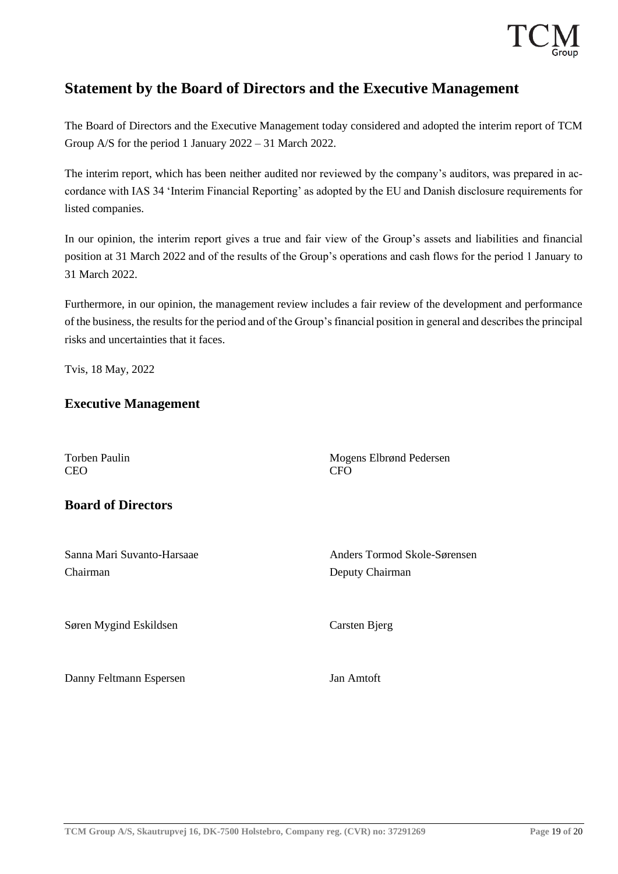

# **Statement by the Board of Directors and the Executive Management**

The Board of Directors and the Executive Management today considered and adopted the interim report of TCM Group A/S for the period 1 January 2022 – 31 March 2022.

The interim report, which has been neither audited nor reviewed by the company's auditors, was prepared in accordance with IAS 34 'Interim Financial Reporting' as adopted by the EU and Danish disclosure requirements for listed companies.

In our opinion, the interim report gives a true and fair view of the Group's assets and liabilities and financial position at 31 March 2022 and of the results of the Group's operations and cash flows for the period 1 January to 31 March 2022.

Furthermore, in our opinion, the management review includes a fair review of the development and performance of the business, the results for the period and of the Group's financial position in general and describes the principal risks and uncertainties that it faces.

Tvis, 18 May, 2022

#### **Executive Management**

Torben Paulin Mogens Elbrønd Pedersen<br>CEO CFO CEO CFO

### **Board of Directors**

Chairman Deputy Chairman

Sanna Mari Suvanto-Harsaae Anders Tormod Skole-Sørensen

Søren Mygind Eskildsen Carsten Bjerg

Danny Feltmann Espersen Jan Amtoft